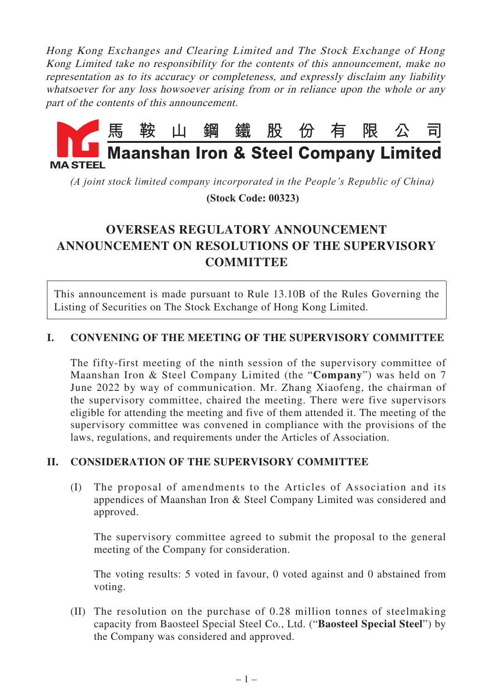Hong Kong Exchanges and Clearing Limited and The Stock Exchange of Hong Kong Limited take no responsibility for the contents of this announcement, make no representation as to its accuracy or completeness, and expressly disclaim any liability whatsoever for any loss howsoever arising from or in reliance upon the whole or any part of the contents of this announcement.



*(A joint stock limited company incorporated in the People's Republic of China)*  **(Stock Code: 00323)**

## **OVERSEAS REGULATORY ANNOUNCEMENT ANNOUNCEMENT ON RESOLUTIONS OF THE SUPERVISORY COMMITTEE**

This announcement is made pursuant to Rule 13.10B of the Rules Governing the Listing of Securities on The Stock Exchange of Hong Kong Limited.

## **I. CONVENING OF THE MEETING OF THE SUPERVISORY COMMITTEE**

The fifty-first meeting of the ninth session of the supervisory committee of Maanshan Iron & Steel Company Limited (the "**Company**") was held on 7 June 2022 by way of communication. Mr. Zhang Xiaofeng, the chairman of the supervisory committee, chaired the meeting. There were five supervisors eligible for attending the meeting and five of them attended it. The meeting of the supervisory committee was convened in compliance with the provisions of the laws, regulations, and requirements under the Articles of Association.

## **II. CONSIDERATION OF THE SUPERVISORY COMMITTEE**

(I) The proposal of amendments to the Articles of Association and its appendices of Maanshan Iron & Steel Company Limited was considered and approved.

The supervisory committee agreed to submit the proposal to the general meeting of the Company for consideration.

The voting results: 5 voted in favour, 0 voted against and 0 abstained from voting.

(II) The resolution on the purchase of 0.28 million tonnes of steelmaking capacity from Baosteel Special Steel Co., Ltd. ("**Baosteel Special Steel**") by the Company was considered and approved.